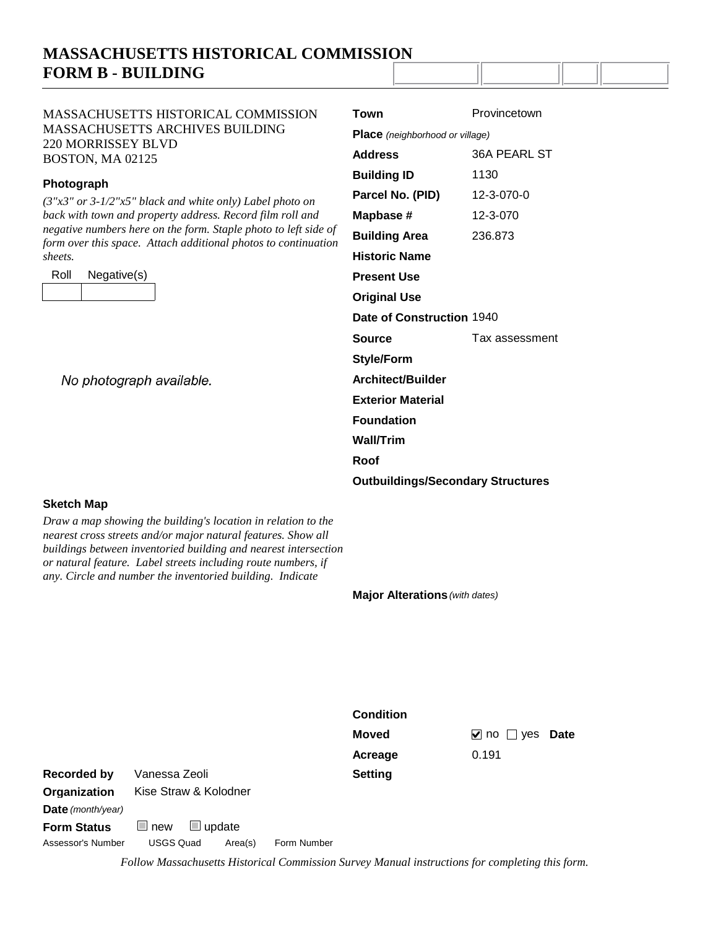# **MASSACHUSETTS HISTORICAL COMMISSION FORM B - BUILDING**

### MASSACHUSETTS HISTORICAL COMMISSION MASSACHUSETTS ARCHIVES BUILDING 220 MORRISSEY BLVD BOSTON, MA 02125

#### **Photograph**

*(3"x3" or 3-1/2"x5" black and white only) Label photo on back with town and property address. Record film roll and negative numbers here on the form. Staple photo to left side of form over this space. Attach additional photos to continuation sheets.*

| Roll | Negative(s) |
|------|-------------|
|      |             |

| <b>Place</b> (neighborhood or village) |  |  |  |  |  |  |
|----------------------------------------|--|--|--|--|--|--|
| <b>36A PEARL ST</b>                    |  |  |  |  |  |  |
| 1130                                   |  |  |  |  |  |  |
| 12-3-070-0                             |  |  |  |  |  |  |
| 12-3-070                               |  |  |  |  |  |  |
| 236.873                                |  |  |  |  |  |  |
|                                        |  |  |  |  |  |  |
| <b>Present Use</b>                     |  |  |  |  |  |  |
| <b>Original Use</b>                    |  |  |  |  |  |  |
| Date of Construction 1940              |  |  |  |  |  |  |
| Tax assessment                         |  |  |  |  |  |  |
|                                        |  |  |  |  |  |  |
| Architect/Builder                      |  |  |  |  |  |  |
| <b>Exterior Material</b>               |  |  |  |  |  |  |
| <b>Foundation</b>                      |  |  |  |  |  |  |
| Wall/Trim                              |  |  |  |  |  |  |
| Roof                                   |  |  |  |  |  |  |
|                                        |  |  |  |  |  |  |
|                                        |  |  |  |  |  |  |

**Town** Provincetown

No photograph available.

### **Sketch Map**

*Draw a map showing the building's location in relation to the nearest cross streets and/or major natural features. Show all buildings between inventoried building and nearest intersection or natural feature. Label streets including route numbers, if any. Circle and number the inventoried building. Indicate* 

**Major Alterations** (with dates)

|                          |                                |         |             | <b>Condition</b> |                             |
|--------------------------|--------------------------------|---------|-------------|------------------|-----------------------------|
|                          |                                |         |             | <b>Moved</b>     | Date<br>$\sqrt{}$ no<br>ves |
|                          |                                |         |             | Acreage          | 0.191                       |
| Recorded by              | Vanessa Zeoli                  |         |             | <b>Setting</b>   |                             |
| Organization             | Kise Straw & Kolodner          |         |             |                  |                             |
| <b>Date</b> (month/year) |                                |         |             |                  |                             |
| <b>Form Status</b>       | $\Box$ update<br>new<br>$\Box$ |         |             |                  |                             |
| Assessor's Number        | <b>USGS Quad</b>               | Area(s) | Form Number |                  |                             |

*Follow Massachusetts Historical Commission Survey Manual instructions for completing this form.*